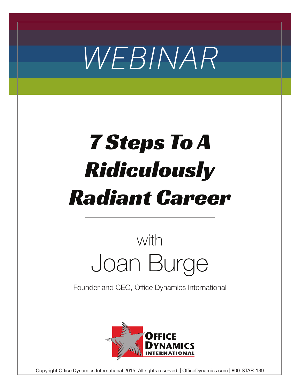

# 7 Steps To A Ridiculously Radiant Career

## Joan Burge with

Founder and CEO, Office Dynamics International



Copyright Office Dynamics International 2015. All rights reserved. | OfficeDynamics.com | 800-STAR-139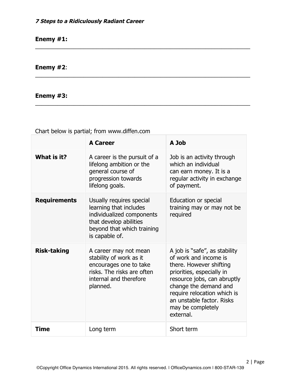#### **Enemy #1:**

#### **Enemy #2**:

#### **Enemy #3:**

Chart below is partial; from www.diffen.com

|                     | <b>A Career</b>                                                                                                                                           | A Job                                                                                                                                                                                                                                                                |
|---------------------|-----------------------------------------------------------------------------------------------------------------------------------------------------------|----------------------------------------------------------------------------------------------------------------------------------------------------------------------------------------------------------------------------------------------------------------------|
| What is it?         | A career is the pursuit of a<br>lifelong ambition or the<br>general course of<br>progression towards<br>lifelong goals.                                   | Job is an activity through<br>which an individual<br>can earn money. It is a<br>regular activity in exchange<br>of payment.                                                                                                                                          |
| <b>Requirements</b> | Usually requires special<br>learning that includes<br>individualized components<br>that develop abilities<br>beyond that which training<br>is capable of. | <b>Education or special</b><br>training may or may not be<br>required                                                                                                                                                                                                |
| <b>Risk-taking</b>  | A career may not mean<br>stability of work as it<br>encourages one to take<br>risks. The risks are often<br>internal and therefore<br>planned.            | A job is "safe", as stability<br>of work and income is<br>there. However shifting<br>priorities, especially in<br>resource jobs, can abruptly<br>change the demand and<br>require relocation which is<br>an unstable factor. Risks<br>may be completely<br>external. |
| <b>Time</b>         | Long term                                                                                                                                                 | Short term                                                                                                                                                                                                                                                           |

\_\_\_\_\_\_\_\_\_\_\_\_\_\_\_\_\_\_\_\_\_\_\_\_\_\_\_\_\_\_\_\_\_\_\_\_\_\_\_\_\_\_\_\_\_\_\_\_\_\_\_\_\_\_\_\_\_\_\_\_\_\_\_\_\_\_\_

\_\_\_\_\_\_\_\_\_\_\_\_\_\_\_\_\_\_\_\_\_\_\_\_\_\_\_\_\_\_\_\_\_\_\_\_\_\_\_\_\_\_\_\_\_\_\_\_\_\_\_\_\_\_\_\_\_\_\_\_\_\_\_\_\_\_\_

\_\_\_\_\_\_\_\_\_\_\_\_\_\_\_\_\_\_\_\_\_\_\_\_\_\_\_\_\_\_\_\_\_\_\_\_\_\_\_\_\_\_\_\_\_\_\_\_\_\_\_\_\_\_\_\_\_\_\_\_\_\_\_\_\_\_\_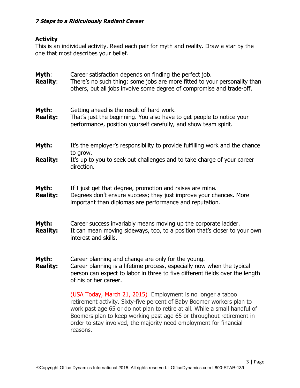#### **7 Steps to a Ridiculously Radiant Career**

#### **Activity**

This is an individual activity. Read each pair for myth and reality. Draw a star by the one that most describes your belief.

| Myth:<br><b>Reality:</b> | Career satisfaction depends on finding the perfect job.<br>There's no such thing; some jobs are more fitted to your personality than<br>others, but all jobs involve some degree of compromise and trade-off.                                                                                                                                                                 |  |
|--------------------------|-------------------------------------------------------------------------------------------------------------------------------------------------------------------------------------------------------------------------------------------------------------------------------------------------------------------------------------------------------------------------------|--|
| Myth:<br><b>Reality:</b> | Getting ahead is the result of hard work.<br>That's just the beginning. You also have to get people to notice your<br>performance, position yourself carefully, and show team spirit.                                                                                                                                                                                         |  |
| Myth:                    | It's the employer's responsibility to provide fulfilling work and the chance                                                                                                                                                                                                                                                                                                  |  |
| <b>Reality:</b>          | to grow.<br>It's up to you to seek out challenges and to take charge of your career<br>direction.                                                                                                                                                                                                                                                                             |  |
| Myth:<br><b>Reality:</b> | If I just get that degree, promotion and raises are mine.<br>Degrees don't ensure success; they just improve your chances. More<br>important than diplomas are performance and reputation.                                                                                                                                                                                    |  |
| Myth:<br><b>Reality:</b> | Career success invariably means moving up the corporate ladder.<br>It can mean moving sideways, too, to a position that's closer to your own<br>interest and skills.                                                                                                                                                                                                          |  |
| Myth:<br><b>Reality:</b> | Career planning and change are only for the young.<br>Career planning is a lifetime process, especially now when the typical<br>person can expect to labor in three to five different fields over the length<br>of his or her career.                                                                                                                                         |  |
|                          | (USA Today, March 21, 2015) Employment is no longer a taboo<br>retirement activity. Sixty-five percent of Baby Boomer workers plan to<br>work past age 65 or do not plan to retire at all. While a small handful of<br>Boomers plan to keep working past age 65 or throughout retirement in<br>order to stay involved, the majority need employment for financial<br>reasons. |  |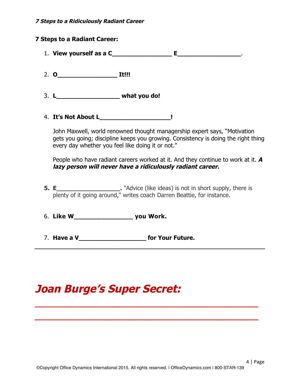#### **7 Steps to a Ridiculously Radiant Career**

#### **7 Steps to a Radiant Career:**

- 1. **View yourself as a C\_\_\_\_\_\_\_\_\_\_\_\_\_\_\_\_ E\_\_\_\_\_\_\_\_\_\_\_\_\_\_\_\_\_**.
- 2. **O\_\_\_\_\_\_\_\_\_\_\_\_\_\_\_\_ It!!!**
- 3. **L\_\_\_\_\_\_\_\_\_\_\_\_\_\_\_\_\_ what you do!**
- 4. **It's Not About L\_\_\_\_\_\_\_\_\_\_\_\_\_\_\_\_\_\_\_!**

John Maxwell, world renowned thought managership expert says, "Motivation gets you going; discipline keeps you growing. Consistency is doing the right thing every day whether you feel like doing it or not."

People who have radiant careers worked at it. And they continue to work at it. **A lazy person will never have a ridiculously radiant career.** 

**5. E\_\_\_\_\_\_\_\_\_\_\_\_\_\_\_\_\_.** "Advice (like ideas) is not in short supply, there is plenty of it going around," writes coach Darren Beattie, for instance.

6. **Like W\_\_\_\_\_\_\_\_\_\_\_\_\_\_\_ you Work.**

7. **Have a V\_\_\_\_\_\_\_\_\_\_\_\_\_\_\_\_\_\_ for Your Future.**

### **Joan Burge's Super Secret:**

\_\_\_\_\_\_\_\_\_\_\_\_\_\_\_\_\_\_\_\_\_\_\_\_\_\_\_\_\_\_\_\_\_\_\_\_\_\_